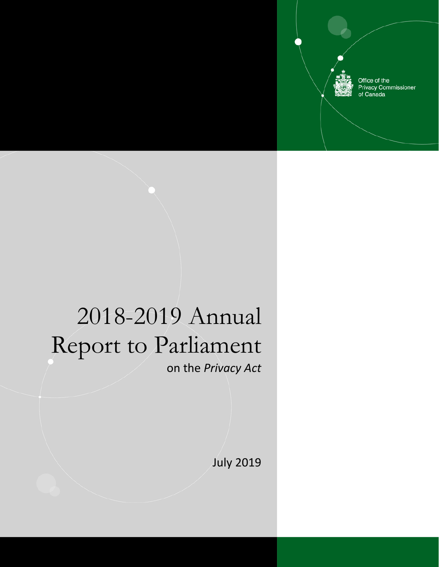Office of the **Privacy Commissioner** of Canada

# 2018-2019 Annual Report to Parliament on the *Privacy Act*

July 2019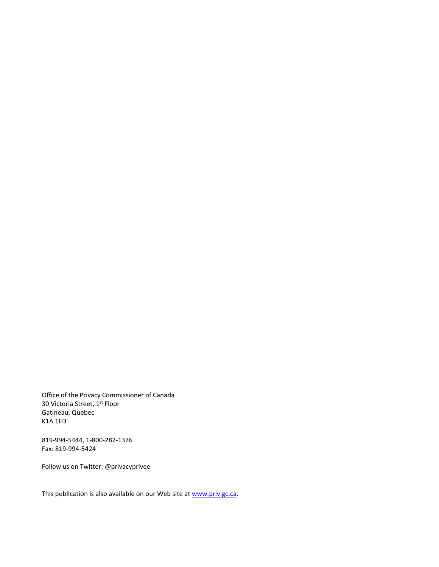Office of the Privacy Commissioner of Canada 30 Victoria Street, 1st Floor Gatineau, Quebec K1A 1H3

819-994-5444, 1-800-282-1376 Fax: 819-994-5424

Follow us on Twitter: @privacyprivee

This publication is also available on our Web site a[t www.priv.gc.ca.](http://www.priv.gc.ca/)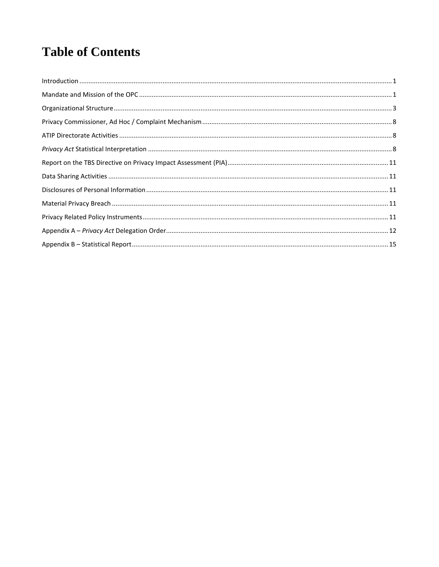# **Table of Contents**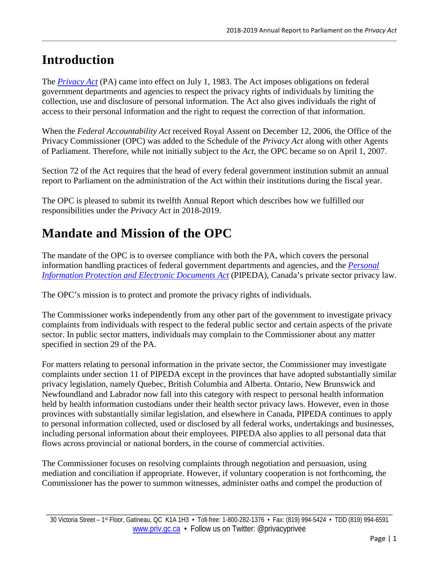# <span id="page-4-0"></span>**Introduction**

The *[Privacy Act](https://www.priv.gc.ca/en/privacy-topics/privacy-laws-in-canada/the-privacy-act/)* (PA) came into effect on July 1, 1983. The Act imposes obligations on federal government departments and agencies to respect the privacy rights of individuals by limiting the collection, use and disclosure of personal information. The Act also gives individuals the right of access to their personal information and the right to request the correction of that information.

When the *Federal Accountability Act* received Royal Assent on December 12, 2006, the Office of the Privacy Commissioner (OPC) was added to the Schedule of the *Privacy Act* along with other Agents of Parliament. Therefore, while not initially subject to the *Act*, the OPC became so on April 1, 2007.

Section 72 of the Act requires that the head of every federal government institution submit an annual report to Parliament on the administration of the Act within their institutions during the fiscal year.

The OPC is pleased to submit its twelfth Annual Report which describes how we fulfilled our responsibilities under the *Privacy Act* in 2018-2019.

# <span id="page-4-1"></span>**Mandate and Mission of the OPC**

The mandate of the OPC is to oversee compliance with both the PA, which covers the personal information handling practices of federal government departments and agencies, and the *[Personal](https://www.priv.gc.ca/en/privacy-topics/privacy-laws-in-canada/the-personal-information-protection-and-electronic-documents-act-pipeda/pipeda-compliance-help/pipeda-interpretation-bulletins/interpretations_07_consent/)  [Information Protection and Electronic Documents Act](https://www.priv.gc.ca/en/privacy-topics/privacy-laws-in-canada/the-personal-information-protection-and-electronic-documents-act-pipeda/pipeda-compliance-help/pipeda-interpretation-bulletins/interpretations_07_consent/)* (PIPEDA), Canada's private sector privacy law.

The OPC's mission is to protect and promote the privacy rights of individuals.

The Commissioner works independently from any other part of the government to investigate privacy complaints from individuals with respect to the federal public sector and certain aspects of the private sector. In public sector matters, individuals may complain to the Commissioner about any matter specified in section 29 of the PA.

For matters relating to personal information in the private sector, the Commissioner may investigate complaints under section 11 of PIPEDA except in the provinces that have adopted substantially similar privacy legislation, namely Quebec, British Columbia and Alberta. Ontario, New Brunswick and Newfoundland and Labrador now fall into this category with respect to personal health information held by health information custodians under their health sector privacy laws. However, even in those provinces with substantially similar legislation, and elsewhere in Canada, PIPEDA continues to apply to personal information collected, used or disclosed by all federal works, undertakings and businesses, including personal information about their employees. PIPEDA also applies to all personal data that flows across provincial or national borders, in the course of commercial activities.

The Commissioner focuses on resolving complaints through negotiation and persuasion, using mediation and conciliation if appropriate. However, if voluntary cooperation is not forthcoming, the Commissioner has the power to summon witnesses, administer oaths and compel the production of

\_\_\_\_\_\_\_\_\_\_\_\_\_\_\_\_\_\_\_\_\_\_\_\_\_\_\_\_\_\_\_\_\_\_\_\_\_\_\_\_\_\_\_\_\_\_\_\_\_\_\_\_\_\_\_\_\_\_\_\_\_\_\_\_\_\_\_\_\_\_\_\_\_\_\_\_\_\_\_\_\_\_\_\_\_\_\_\_\_\_\_\_\_\_\_\_\_\_\_\_\_\_\_\_\_\_ 30 Victoria Street – 1st Floor, Gatineau, QC K1A 1H3 • Toll-free: 1-800-282-1376 • Fax: (819) 994-5424 • TDD (819) 994-6591 [www.priv.gc.ca](http://www.priv.gc.ca/) • Follow us on Twitter: @privacyprivee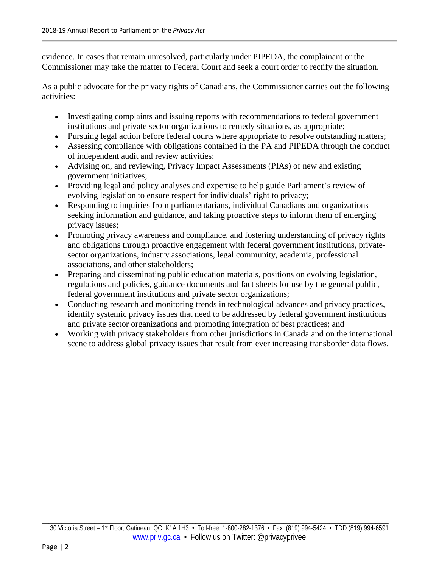evidence. In cases that remain unresolved, particularly under PIPEDA, the complainant or the Commissioner may take the matter to Federal Court and seek a court order to rectify the situation.

As a public advocate for the privacy rights of Canadians, the Commissioner carries out the following activities:

- Investigating complaints and issuing reports with recommendations to federal government institutions and private sector organizations to remedy situations, as appropriate;
- Pursuing legal action before federal courts where appropriate to resolve outstanding matters;
- Assessing compliance with obligations contained in the PA and PIPEDA through the conduct of independent audit and review activities;
- Advising on, and reviewing, Privacy Impact Assessments (PIAs) of new and existing government initiatives;
- Providing legal and policy analyses and expertise to help guide Parliament's review of evolving legislation to ensure respect for individuals' right to privacy;
- Responding to inquiries from parliamentarians, individual Canadians and organizations seeking information and guidance, and taking proactive steps to inform them of emerging privacy issues;
- Promoting privacy awareness and compliance, and fostering understanding of privacy rights and obligations through proactive engagement with federal government institutions, privatesector organizations, industry associations, legal community, academia, professional associations, and other stakeholders;
- Preparing and disseminating public education materials, positions on evolving legislation, regulations and policies, guidance documents and fact sheets for use by the general public, federal government institutions and private sector organizations;
- Conducting research and monitoring trends in technological advances and privacy practices, identify systemic privacy issues that need to be addressed by federal government institutions and private sector organizations and promoting integration of best practices; and
- Working with privacy stakeholders from other jurisdictions in Canada and on the international scene to address global privacy issues that result from ever increasing transborder data flows.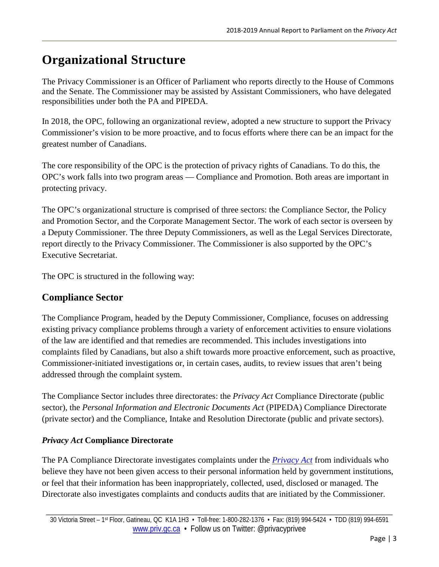# <span id="page-6-0"></span>**Organizational Structure**

The Privacy Commissioner is an Officer of Parliament who reports directly to the House of Commons and the Senate. The Commissioner may be assisted by Assistant Commissioners, who have delegated responsibilities under both the PA and PIPEDA.

In 2018, the OPC, following an organizational review, adopted a new structure to support the Privacy Commissioner's vision to be more proactive, and to focus efforts where there can be an impact for the greatest number of Canadians.

The core responsibility of the OPC is the protection of privacy rights of Canadians. To do this, the OPC's work falls into two program areas — Compliance and Promotion. Both areas are important in protecting privacy.

The OPC's organizational structure is comprised of three sectors: the Compliance Sector, the Policy and Promotion Sector, and the Corporate Management Sector. The work of each sector is overseen by a Deputy Commissioner. The three Deputy Commissioners, as well as the Legal Services Directorate, report directly to the Privacy Commissioner. The Commissioner is also supported by the OPC's Executive Secretariat.

The OPC is structured in the following way:

# **Compliance Sector**

The Compliance Program, headed by the Deputy Commissioner, Compliance, focuses on addressing existing privacy compliance problems through a variety of enforcement activities to ensure violations of the law are identified and that remedies are recommended. This includes investigations into complaints filed by Canadians, but also a shift towards more proactive enforcement, such as proactive, Commissioner-initiated investigations or, in certain cases, audits, to review issues that aren't being addressed through the complaint system.

The Compliance Sector includes three directorates: the *Privacy Act* Compliance Directorate (public sector), the *Personal Information and Electronic Documents Act* (PIPEDA) Compliance Directorate (private sector) and the Compliance, Intake and Resolution Directorate (public and private sectors).

## *Privacy Act* **Compliance Directorate**

The PA Compliance Directorate investigates complaints under the *[Privacy Act](https://www.priv.gc.ca/en/privacy-topics/privacy-laws-in-canada/the-privacy-act/)* from individuals who believe they have not been given access to their personal information held by government institutions, or feel that their information has been inappropriately, collected, used, disclosed or managed. The Directorate also investigates complaints and conducts audits that are initiated by the Commissioner.

\_\_\_\_\_\_\_\_\_\_\_\_\_\_\_\_\_\_\_\_\_\_\_\_\_\_\_\_\_\_\_\_\_\_\_\_\_\_\_\_\_\_\_\_\_\_\_\_\_\_\_\_\_\_\_\_\_\_\_\_\_\_\_\_\_\_\_\_\_\_\_\_\_\_\_\_\_\_\_\_\_\_\_\_\_\_\_\_\_\_\_\_\_\_\_\_\_\_\_\_\_\_\_\_\_\_ 30 Victoria Street – 1st Floor, Gatineau, QC K1A 1H3 • Toll-free: 1-800-282-1376 • Fax: (819) 994-5424 • TDD (819) 994-6591 [www.priv.gc.ca](http://www.priv.gc.ca/) • Follow us on Twitter: @privacyprivee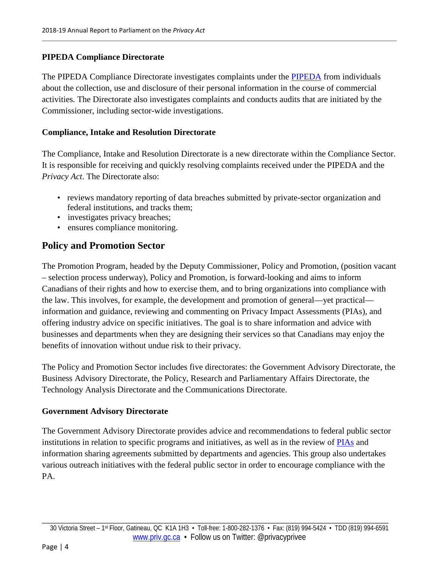### **PIPEDA Compliance Directorate**

The PIPEDA Compliance Directorate investigates complaints under the [PIPEDA](https://www.priv.gc.ca/en/privacy-topics/privacy-laws-in-canada/the-personal-information-protection-and-electronic-documents-act-pipeda/pipeda-compliance-help/pipeda-interpretation-bulletins/interpretations_07_consent/) from individuals about the collection, use and disclosure of their personal information in the course of commercial activities. The Directorate also investigates complaints and conducts audits that are initiated by the Commissioner, including sector-wide investigations.

### **Compliance, Intake and Resolution Directorate**

The Compliance, Intake and Resolution Directorate is a new directorate within the Compliance Sector. It is responsible for receiving and quickly resolving complaints received under the PIPEDA and the *Privacy Act*. The Directorate also:

- reviews mandatory reporting of data breaches submitted by private-sector organization and federal institutions, and tracks them;
- investigates privacy breaches;
- ensures compliance monitoring.

# **Policy and Promotion Sector**

The Promotion Program, headed by the Deputy Commissioner, Policy and Promotion, (position vacant – selection process underway), Policy and Promotion, is forward-looking and aims to inform Canadians of their rights and how to exercise them, and to bring organizations into compliance with the law. This involves, for example, the development and promotion of general—yet practical information and guidance, reviewing and commenting on Privacy Impact Assessments (PIAs), and offering industry advice on specific initiatives. The goal is to share information and advice with businesses and departments when they are designing their services so that Canadians may enjoy the benefits of innovation without undue risk to their privacy.

The Policy and Promotion Sector includes five directorates: the Government Advisory Directorate, the Business Advisory Directorate, the Policy, Research and Parliamentary Affairs Directorate, the Technology Analysis Directorate and the Communications Directorate.

### **Government Advisory Directorate**

The Government Advisory Directorate provides advice and recommendations to federal public sector institutions in relation to specific programs and initiatives, as well as in the review of [PIAs](https://www.priv.gc.ca/en/privacy-topics/privacy-impact-assessments/) and information sharing agreements submitted by departments and agencies. This group also undertakes various outreach initiatives with the federal public sector in order to encourage compliance with the PA.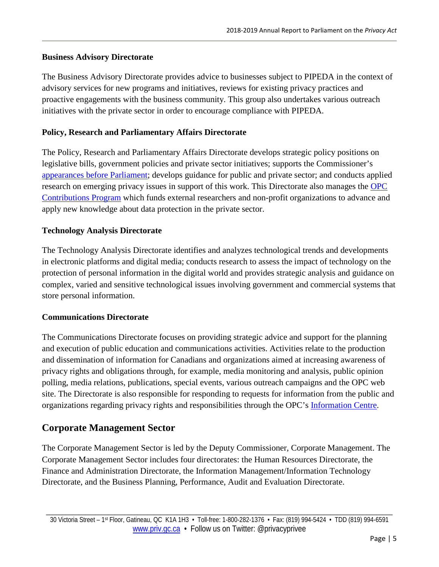### **Business Advisory Directorate**

The Business Advisory Directorate provides advice to businesses subject to PIPEDA in the context of advisory services for new programs and initiatives, reviews for existing privacy practices and proactive engagements with the business community. This group also undertakes various outreach initiatives with the private sector in order to encourage compliance with PIPEDA.

#### **Policy, Research and Parliamentary Affairs Directorate**

The Policy, Research and Parliamentary Affairs Directorate develops strategic policy positions on legislative bills, government policies and private sector initiatives; supports the Commissioner's [appearances before Parliament;](https://www.priv.gc.ca/en/opc-actions-and-decisions/advice-to-parliament/) develops guidance for public and private sector; and conducts applied research on emerging privacy issues in support of this work. This Directorate also manages the [OPC](https://www.priv.gc.ca/en/opc-actions-and-decisions/research/funding-for-privacy-research-and-knowledge-translation/)  [Contributions Program](https://www.priv.gc.ca/en/opc-actions-and-decisions/research/funding-for-privacy-research-and-knowledge-translation/) which funds external researchers and non-profit organizations to advance and apply new knowledge about data protection in the private sector.

#### **Technology Analysis Directorate**

The Technology Analysis Directorate identifies and analyzes technological trends and developments in electronic platforms and digital media; conducts research to assess the impact of technology on the protection of personal information in the digital world and provides strategic analysis and guidance on complex, varied and sensitive technological issues involving government and commercial systems that store personal information.

#### **Communications Directorate**

The Communications Directorate focuses on providing strategic advice and support for the planning and execution of public education and communications activities. Activities relate to the production and dissemination of information for Canadians and organizations aimed at increasing awareness of privacy rights and obligations through, for example, media monitoring and analysis, public opinion polling, media relations, publications, special events, various outreach campaigns and the OPC web site. The Directorate is also responsible for responding to requests for information from the public and organizations regarding privacy rights and responsibilities through the OPC's [Information Centre.](https://www.priv.gc.ca/en/contact-the-opc/contact-the-information-centre/)

## **Corporate Management Sector**

The Corporate Management Sector is led by the Deputy Commissioner, Corporate Management. The Corporate Management Sector includes four directorates: the Human Resources Directorate, the Finance and Administration Directorate, the Information Management/Information Technology Directorate, and the Business Planning, Performance, Audit and Evaluation Directorate.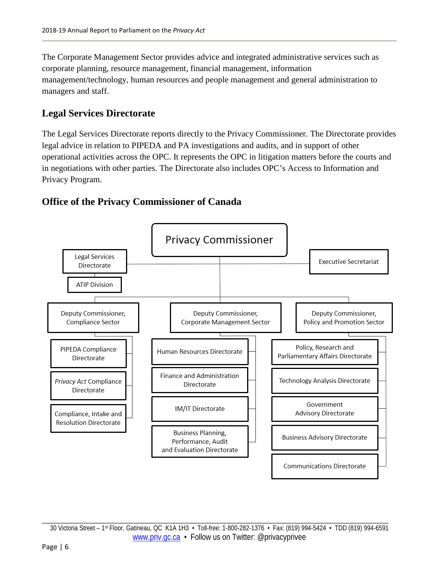The Corporate Management Sector provides advice and integrated administrative services such as corporate planning, resource management, financial management, information management/technology, human resources and people management and general administration to managers and staff.

# **Legal Services Directorate**

The Legal Services Directorate reports directly to the Privacy Commissioner. The Directorate provides legal advice in relation to PIPEDA and PA investigations and audits, and in support of other operational activities across the OPC. It represents the OPC in litigation matters before the courts and in negotiations with other parties. The Directorate also includes OPC's Access to Information and Privacy Program.

# **Office of the Privacy Commissioner of Canada**

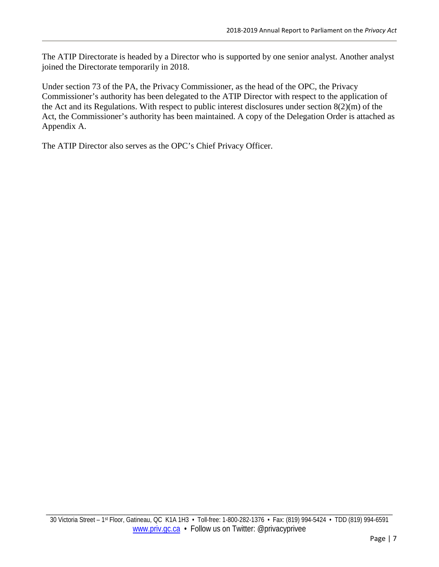The ATIP Directorate is headed by a Director who is supported by one senior analyst. Another analyst joined the Directorate temporarily in 2018.

Under section 73 of the PA, the Privacy Commissioner, as the head of the OPC, the Privacy Commissioner's authority has been delegated to the ATIP Director with respect to the application of the Act and its Regulations. With respect to public interest disclosures under section 8(2)(m) of the Act, the Commissioner's authority has been maintained. A copy of the Delegation Order is attached as Appendix A.

<span id="page-10-0"></span>The ATIP Director also serves as the OPC's Chief Privacy Officer.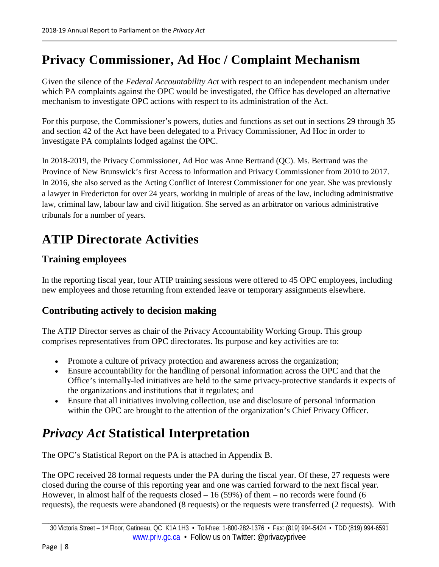# **Privacy Commissioner, Ad Hoc / Complaint Mechanism**

Given the silence of the *Federal Accountability Act* with respect to an independent mechanism under which PA complaints against the OPC would be investigated, the Office has developed an alternative mechanism to investigate OPC actions with respect to its administration of the Act*.*

For this purpose, the Commissioner's powers, duties and functions as set out in sections 29 through 35 and section 42 of the Act have been delegated to a Privacy Commissioner, Ad Hoc in order to investigate PA complaints lodged against the OPC.

In 2018-2019, the Privacy Commissioner, Ad Hoc was Anne Bertrand (QC). Ms. Bertrand was the Province of New Brunswick's first Access to Information and Privacy Commissioner from 2010 to 2017. In 2016, she also served as the Acting Conflict of Interest Commissioner for one year. She was previously a lawyer in Fredericton for over 24 years, working in multiple of areas of the law, including administrative law, criminal law, labour law and civil litigation. She served as an arbitrator on various administrative tribunals for a number of years.

# <span id="page-11-0"></span>**ATIP Directorate Activities**

# **Training employees**

In the reporting fiscal year, four ATIP training sessions were offered to 45 OPC employees, including new employees and those returning from extended leave or temporary assignments elsewhere.

# **Contributing actively to decision making**

The ATIP Director serves as chair of the Privacy Accountability Working Group. This group comprises representatives from OPC directorates. Its purpose and key activities are to:

- Promote a culture of privacy protection and awareness across the organization;
- Ensure accountability for the handling of personal information across the OPC and that the Office's internally-led initiatives are held to the same privacy-protective standards it expects of the organizations and institutions that it regulates; and
- Ensure that all initiatives involving collection, use and disclosure of personal information within the OPC are brought to the attention of the organization's Chief Privacy Officer.

# <span id="page-11-1"></span>*Privacy Act* **Statistical Interpretation**

The OPC's Statistical Report on the PA is attached in Appendix B.

The OPC received 28 formal requests under the PA during the fiscal year. Of these, 27 requests were closed during the course of this reporting year and one was carried forward to the next fiscal year. However, in almost half of the requests closed  $-16(59%)$  of them – no records were found (6 requests), the requests were abandoned (8 requests) or the requests were transferred (2 requests). With

\_\_\_\_\_\_\_\_\_\_\_\_\_\_\_\_\_\_\_\_\_\_\_\_\_\_\_\_\_\_\_\_\_\_\_\_\_\_\_\_\_\_\_\_\_\_\_\_\_\_\_\_\_\_\_\_\_\_\_\_\_\_\_\_\_\_\_\_\_\_\_\_\_\_\_\_\_\_\_\_\_\_\_\_\_\_\_\_\_\_\_\_\_\_\_\_\_\_\_\_\_\_\_\_\_\_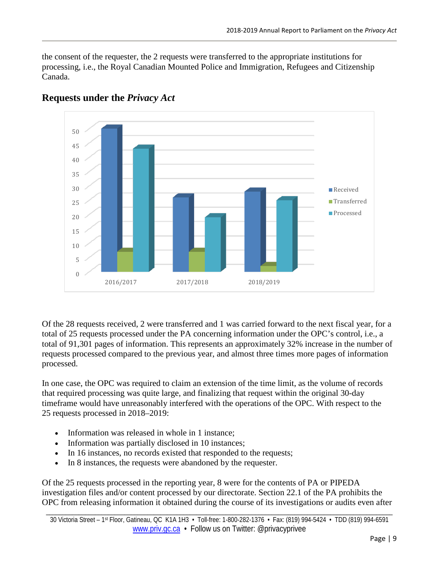the consent of the requester, the 2 requests were transferred to the appropriate institutions for processing, i.e., the Royal Canadian Mounted Police and Immigration, Refugees and Citizenship Canada.



# **Requests under the** *Privacy Act*

Of the 28 requests received, 2 were transferred and 1 was carried forward to the next fiscal year, for a total of 25 requests processed under the PA concerning information under the OPC's control, i.e., a total of 91,301 pages of information. This represents an approximately 32% increase in the number of requests processed compared to the previous year, and almost three times more pages of information processed.

In one case, the OPC was required to claim an extension of the time limit, as the volume of records that required processing was quite large, and finalizing that request within the original 30-day timeframe would have unreasonably interfered with the operations of the OPC. With respect to the 25 requests processed in 2018–2019:

- Information was released in whole in 1 instance;
- Information was partially disclosed in 10 instances;
- In 16 instances, no records existed that responded to the requests;
- In 8 instances, the requests were abandoned by the requester.

Of the 25 requests processed in the reporting year, 8 were for the contents of PA or PIPEDA investigation files and/or content processed by our directorate. Section 22.1 of the PA prohibits the OPC from releasing information it obtained during the course of its investigations or audits even after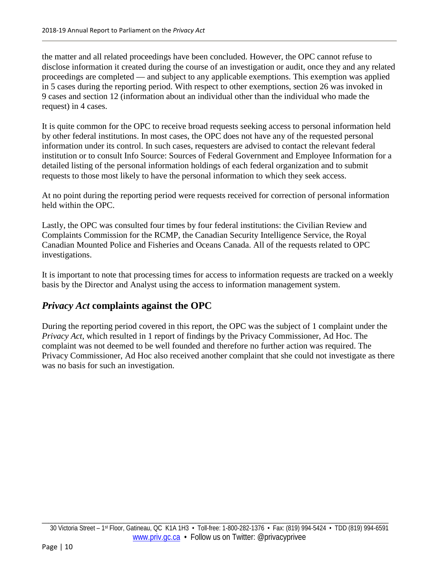the matter and all related proceedings have been concluded. However, the OPC cannot refuse to disclose information it created during the course of an investigation or audit, once they and any related proceedings are completed — and subject to any applicable exemptions. This exemption was applied in 5 cases during the reporting period. With respect to other exemptions, section 26 was invoked in 9 cases and section 12 (information about an individual other than the individual who made the request) in 4 cases.

It is quite common for the OPC to receive broad requests seeking access to personal information held by other federal institutions. In most cases, the OPC does not have any of the requested personal information under its control. In such cases, requesters are advised to contact the relevant federal institution or to consult Info Source: Sources of Federal Government and Employee Information for a detailed listing of the personal information holdings of each federal organization and to submit requests to those most likely to have the personal information to which they seek access.

At no point during the reporting period were requests received for correction of personal information held within the OPC.

Lastly, the OPC was consulted four times by four federal institutions: the Civilian Review and Complaints Commission for the RCMP, the Canadian Security Intelligence Service, the Royal Canadian Mounted Police and Fisheries and Oceans Canada. All of the requests related to OPC investigations.

It is important to note that processing times for access to information requests are tracked on a weekly basis by the Director and Analyst using the access to information management system.

## *Privacy Act* **complaints against the OPC**

<span id="page-13-0"></span>During the reporting period covered in this report, the OPC was the subject of 1 complaint under the *Privacy Act*, which resulted in 1 report of findings by the Privacy Commissioner, Ad Hoc. The complaint was not deemed to be well founded and therefore no further action was required. The Privacy Commissioner, Ad Hoc also received another complaint that she could not investigate as there was no basis for such an investigation.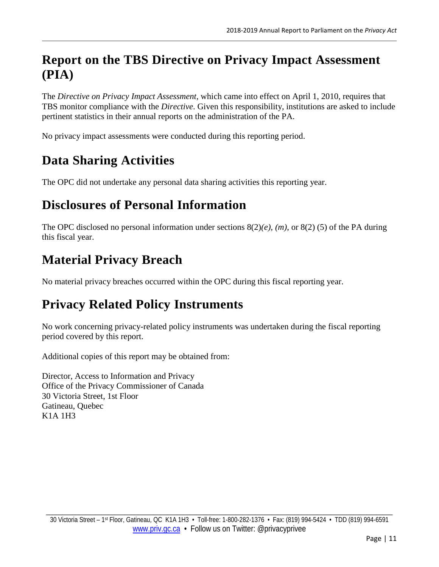# **Report on the TBS Directive on Privacy Impact Assessment (PIA)**

The *Directive on Privacy Impact Assessment,* which came into effect on April 1, 2010, requires that TBS monitor compliance with the *Directive*. Given this responsibility, institutions are asked to include pertinent statistics in their annual reports on the administration of the PA.

No privacy impact assessments were conducted during this reporting period.

# <span id="page-14-0"></span>**Data Sharing Activities**

The OPC did not undertake any personal data sharing activities this reporting year.

# <span id="page-14-1"></span>**Disclosures of Personal Information**

The OPC disclosed no personal information under sections 8(2)*(e)*, *(m)*, or 8(2) (5) of the PA during this fiscal year.

# <span id="page-14-2"></span>**Material Privacy Breach**

No material privacy breaches occurred within the OPC during this fiscal reporting year.

# <span id="page-14-3"></span>**Privacy Related Policy Instruments**

No work concerning privacy-related policy instruments was undertaken during the fiscal reporting period covered by this report.

Additional copies of this report may be obtained from:

Director, Access to Information and Privacy Office of the Privacy Commissioner of Canada 30 Victoria Street, 1st Floor Gatineau, Quebec K1A 1H3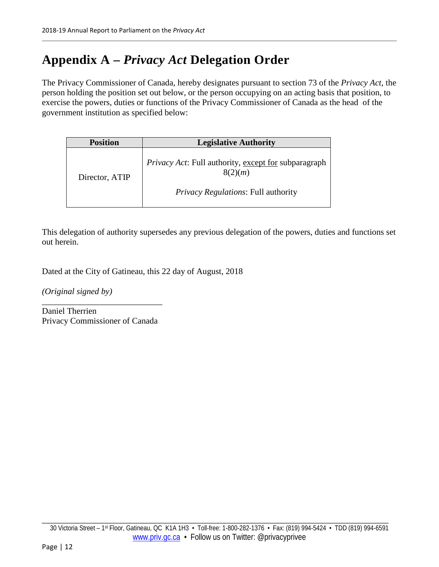# <span id="page-15-0"></span>**Appendix A –** *Privacy Act* **Delegation Order**

The Privacy Commissioner of Canada, hereby designates pursuant to section 73 of the *Privacy Act*, the person holding the position set out below, or the person occupying on an acting basis that position, to exercise the powers, duties or functions of the Privacy Commissioner of Canada as the head of the government institution as specified below:

| <b>Position</b> | <b>Legislative Authority</b>                                    |
|-----------------|-----------------------------------------------------------------|
| Director, ATIP  | Privacy Act: Full authority, except for subparagraph<br>8(2)(m) |
|                 | <i>Privacy Regulations: Full authority</i>                      |

This delegation of authority supersedes any previous delegation of the powers, duties and functions set out herein.

Dated at the City of Gatineau, this 22 day of August, 2018

*(Original signed by)*

Daniel Therrien Privacy Commissioner of Canada

\_\_\_\_\_\_\_\_\_\_\_\_\_\_\_\_\_\_\_\_\_\_\_\_\_\_\_\_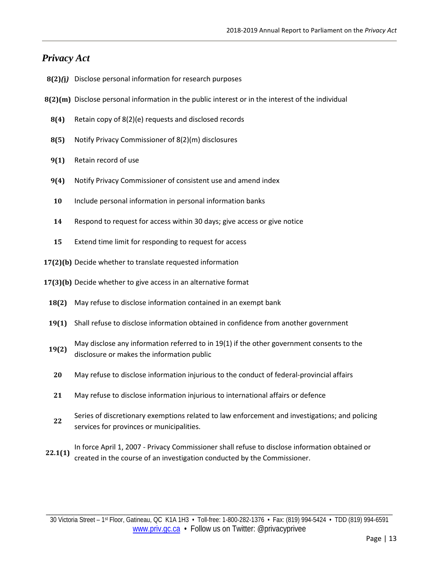### *Privacy Act*

- **8(2)***(***j***)* Disclose personal information for research purposes
- **8(2)(m)** Disclose personal information in the public interest or in the interest of the individual
	- **8(4)** Retain copy of 8(2)(e) requests and disclosed records
	- **8(5)** Notify Privacy Commissioner of 8(2)(m) disclosures
	- **9(1)** Retain record of use
	- **9(4)** Notify Privacy Commissioner of consistent use and amend index
	- **10** Include personal information in personal information banks
	- **14** Respond to request for access within 30 days; give access or give notice
	- **15** Extend time limit for responding to request for access
- **17(2)(b)** Decide whether to translate requested information
- **17(3)(b)** Decide whether to give access in an alternative format
	- **18(2)** May refuse to disclose information contained in an exempt bank
	- **19(1)** Shall refuse to disclose information obtained in confidence from another government
	- **19(2)** May disclose any information referred to in 19(1) if the other government consents to the disclosure or makes the information public
	- **20** May refuse to disclose information injurious to the conduct of federal-provincial affairs
	- **21** May refuse to disclose information injurious to international affairs or defence
	- **<sup>22</sup>** Series of discretionary exemptions related to law enforcement and investigations; and policing services for provinces or municipalities.
- **22.1(1)** In force April 1, 2007 Privacy Commissioner shall refuse to disclose information obtained or created in the course of an investigation conducted by the Commissioner.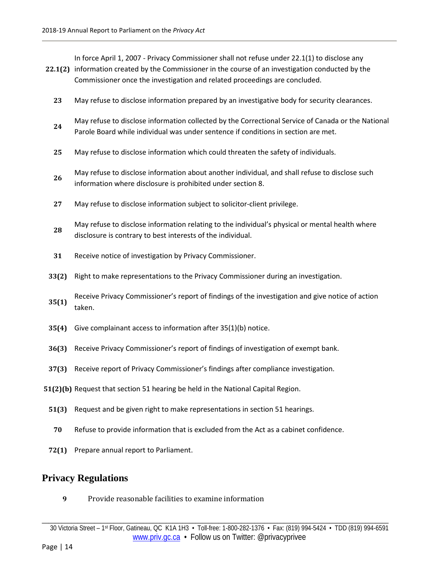In force April 1, 2007 - Privacy Commissioner shall not refuse under 22.1(1) to disclose any

- **22.1(2)** information created by the Commissioner in the course of an investigation conducted by the Commissioner once the investigation and related proceedings are concluded.
	- **23** May refuse to disclose information prepared by an investigative body for security clearances.
	- **<sup>24</sup>** May refuse to disclose information collected by the Correctional Service of Canada or the National Parole Board while individual was under sentence if conditions in section are met.
	- **25** May refuse to disclose information which could threaten the safety of individuals.
	- **<sup>26</sup>** May refuse to disclose information about another individual, and shall refuse to disclose such information where disclosure is prohibited under section 8.
	- **27** May refuse to disclose information subject to solicitor-client privilege.
	- **<sup>28</sup>** May refuse to disclose information relating to the individual's physical or mental health where disclosure is contrary to best interests of the individual.
	- **31** Receive notice of investigation by Privacy Commissioner.
- **33(2)** Right to make representations to the Privacy Commissioner during an investigation.
- **35(1)** Receive Privacy Commissioner's report of findings of the investigation and give notice of action taken.
- **35(4)** Give complainant access to information after 35(1)(b) notice.
- **36(3)** Receive Privacy Commissioner's report of findings of investigation of exempt bank.
- **37(3)** Receive report of Privacy Commissioner's findings after compliance investigation.
- **51(2)(b)** Request that section 51 hearing be held in the National Capital Region.
	- **51(3)** Request and be given right to make representations in section 51 hearings.
	- **70** Refuse to provide information that is excluded from the Act as a cabinet confidence.
	- **72(1)** Prepare annual report to Parliament.

### **Privacy Regulations**

**9** Provide reasonable facilities to examine information

\_\_\_\_\_\_\_\_\_\_\_\_\_\_\_\_\_\_\_\_\_\_\_\_\_\_\_\_\_\_\_\_\_\_\_\_\_\_\_\_\_\_\_\_\_\_\_\_\_\_\_\_\_\_\_\_\_\_\_\_\_\_\_\_\_\_\_\_\_\_\_\_\_\_\_\_\_\_\_\_\_\_\_\_\_\_\_\_\_\_\_\_\_\_\_\_\_\_\_\_\_\_\_\_\_\_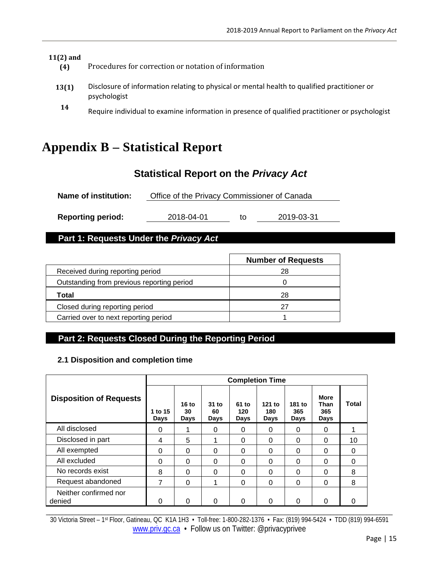| $11(2)$ and<br>(4) | Procedures for correction or notation of information                                                         |
|--------------------|--------------------------------------------------------------------------------------------------------------|
| 13(1)              | Disclosure of information relating to physical or mental health to qualified practitioner or<br>psychologist |
| 14                 | Require individual to examine information in presence of qualified practitioner or psychologist              |

# <span id="page-18-0"></span>**Appendix B – Statistical Report**

# **Statistical Report on the** *Privacy Act*

| <b>Name of institution:</b> | Office of the Privacy Commissioner of Canada |
|-----------------------------|----------------------------------------------|
|-----------------------------|----------------------------------------------|

**Reporting period:** 2018-04-01 to 2019-03-31

## **Part 1: Requests Under the** *Privacy Act*

|                                            | <b>Number of Requests</b> |
|--------------------------------------------|---------------------------|
| Received during reporting period           | 28                        |
| Outstanding from previous reporting period |                           |
| Total                                      | 28                        |
| Closed during reporting period             | 27                        |
| Carried over to next reporting period      |                           |

# **Part 2: Requests Closed During the Reporting Period**

#### **2.1 Disposition and completion time**

|                                 | <b>Completion Time</b> |                     |                     |                      |                       |                       |                                    |       |
|---------------------------------|------------------------|---------------------|---------------------|----------------------|-----------------------|-----------------------|------------------------------------|-------|
| <b>Disposition of Requests</b>  | 1 to 15<br>Days        | 16 to<br>30<br>Days | 31 to<br>60<br>Days | 61 to<br>120<br>Days | 121 to<br>180<br>Days | 181 to<br>365<br>Days | <b>More</b><br>Than<br>365<br>Days | Total |
| All disclosed                   | 0                      |                     | $\Omega$            | 0                    | 0                     | 0                     | 0                                  |       |
| Disclosed in part               | 4                      | 5                   |                     | 0                    | 0                     | 0                     | 0                                  | 10    |
| All exempted                    | 0                      | $\Omega$            | $\Omega$            | 0                    | 0                     | 0                     | 0                                  | 0     |
| All excluded                    | 0                      | $\Omega$            | $\Omega$            | 0                    | 0                     | 0                     | 0                                  | 0     |
| No records exist                | 8                      | $\Omega$            | $\Omega$            | 0                    | 0                     | 0                     | 0                                  | 8     |
| Request abandoned               | 7                      | $\Omega$            | 1                   | 0                    | 0                     | 0                     | 0                                  | 8     |
| Neither confirmed nor<br>denied | 0                      | 0                   | 0                   | 0                    | 0                     | 0                     | 0                                  | 0     |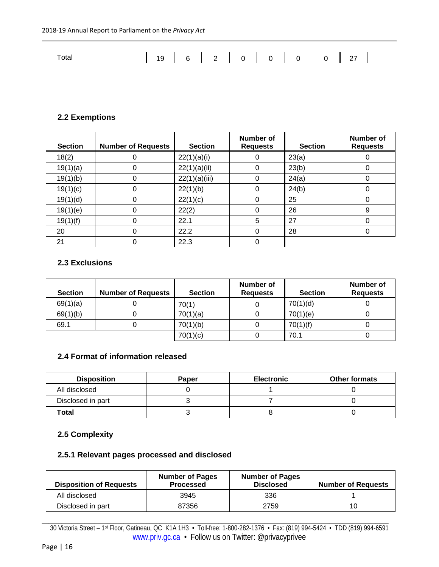| Total |  | $\begin{array}{ccccccccccccc}\n1 & 2 & 0 & \n\end{array}$ |  |  |  |
|-------|--|-----------------------------------------------------------|--|--|--|

### **2.2 Exemptions**

| <b>Section</b> | <b>Number of Requests</b> | <b>Section</b> | Number of<br><b>Requests</b> | <b>Section</b> | Number of<br><b>Requests</b> |
|----------------|---------------------------|----------------|------------------------------|----------------|------------------------------|
| 18(2)          |                           | 22(1)(a)(i)    |                              | 23(a)          |                              |
| 19(1)(a)       | 0                         | 22(1)(a)(ii)   | 0                            | 23(b)          | 0                            |
| 19(1)(b)       |                           | 22(1)(a)(iii)  | 0                            | 24(a)          | 0                            |
| 19(1)(c)       |                           | 22(1)(b)       | 0                            | 24(b)          | 0                            |
| 19(1)(d)       | 0                         | 22(1)(c)       | 0                            | 25             | 0                            |
| 19(1)(e)       | 0                         | 22(2)          | 0                            | 26             | 9                            |
| 19(1)(f)       | $\Omega$                  | 22.1           | 5                            | 27             | 0                            |
| 20             |                           | 22.2           | O                            | 28             | 0                            |
| 21             |                           | 22.3           |                              |                |                              |

#### **2.3 Exclusions**

| <b>Section</b> | <b>Number of Requests</b> | <b>Section</b> | Number of<br><b>Requests</b> | <b>Section</b> | Number of<br><b>Requests</b> |
|----------------|---------------------------|----------------|------------------------------|----------------|------------------------------|
| 69(1)(a)       |                           | 70(1)          |                              | 70(1)(d)       |                              |
| 69(1)(b)       |                           | 70(1)(a)       |                              | 70(1)(e)       |                              |
| 69.1           |                           | 70(1)(b)       |                              | 70(1)(f)       |                              |
|                |                           | 70(1)(c)       |                              | 70.1           |                              |

#### **2.4 Format of information released**

| <b>Disposition</b> | <b>Paper</b> | <b>Electronic</b> | <b>Other formats</b> |
|--------------------|--------------|-------------------|----------------------|
| All disclosed      |              |                   |                      |
| Disclosed in part  |              |                   |                      |
| Total              |              |                   |                      |

## **2.5 Complexity**

### **2.5.1 Relevant pages processed and disclosed**

| <b>Disposition of Requests</b> | <b>Number of Pages</b><br><b>Processed</b> | <b>Number of Pages</b><br><b>Disclosed</b> | <b>Number of Requests</b> |
|--------------------------------|--------------------------------------------|--------------------------------------------|---------------------------|
| All disclosed                  | 3945                                       | 336                                        |                           |
| Disclosed in part              | 87356                                      | 2759                                       | 10                        |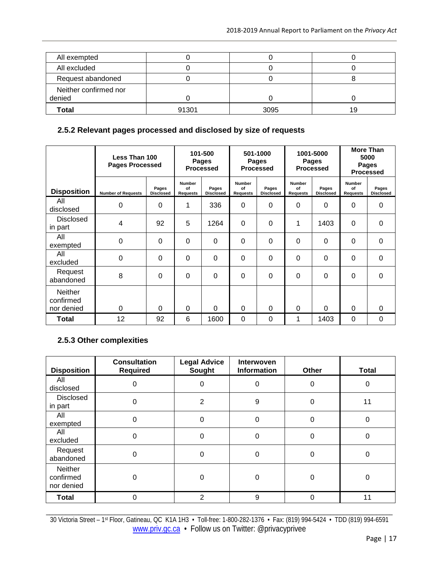| All exempted          |       |      |    |
|-----------------------|-------|------|----|
| All excluded          |       |      |    |
| Request abandoned     |       |      |    |
| Neither confirmed nor |       |      |    |
| denied                |       |      |    |
| <b>Total</b>          | 91301 | 3095 | 19 |

### **2.5.2 Relevant pages processed and disclosed by size of requests**

|                                           | Less Than 100<br><b>Pages Processed</b> |                           | 101-500<br>501-1000<br><b>Pages</b><br>Pages<br><b>Processed</b><br><b>Processed</b> |                           | 1001-5000<br><b>Pages</b><br><b>Processed</b> |                           | <b>More Than</b><br>5000<br>Pages<br><b>Processed</b> |                           |                                        |                           |
|-------------------------------------------|-----------------------------------------|---------------------------|--------------------------------------------------------------------------------------|---------------------------|-----------------------------------------------|---------------------------|-------------------------------------------------------|---------------------------|----------------------------------------|---------------------------|
| <b>Disposition</b>                        | <b>Number of Requests</b>               | Pages<br><b>Disclosed</b> | <b>Number</b><br>of<br><b>Requests</b>                                               | Pages<br><b>Disclosed</b> | <b>Number</b><br>of<br><b>Requests</b>        | Pages<br><b>Disclosed</b> | <b>Number</b><br>of<br><b>Requests</b>                | Pages<br><b>Disclosed</b> | <b>Number</b><br>of<br><b>Requests</b> | Pages<br><b>Disclosed</b> |
| All<br>disclosed                          | 0                                       | 0                         | 1                                                                                    | 336                       | 0                                             | 0                         | $\Omega$                                              | 0                         | 0                                      | 0                         |
| <b>Disclosed</b><br>in part               | 4                                       | 92                        | 5                                                                                    | 1264                      | $\Omega$                                      | $\Omega$                  |                                                       | 1403                      | $\Omega$                               | $\Omega$                  |
| All<br>exempted                           | $\Omega$                                | $\Omega$                  | $\Omega$                                                                             | 0                         | $\Omega$                                      | 0                         | $\Omega$                                              | $\Omega$                  | 0                                      | 0                         |
| All<br>excluded                           | 0                                       | $\Omega$                  | 0                                                                                    | 0                         | $\Omega$                                      | 0                         | $\Omega$                                              | $\Omega$                  | 0                                      | 0                         |
| Request<br>abandoned                      | 8                                       | $\Omega$                  | $\Omega$                                                                             | 0                         | $\mathbf 0$                                   | $\Omega$                  | $\Omega$                                              | $\Omega$                  | $\Omega$                               | $\Omega$                  |
| <b>Neither</b><br>confirmed<br>nor denied | $\Omega$                                | $\Omega$                  | $\Omega$                                                                             | $\Omega$                  | $\Omega$                                      | 0                         | $\Omega$                                              | $\Omega$                  | $\Omega$                               | $\Omega$                  |
| <b>Total</b>                              | 12                                      | 92                        | 6                                                                                    | 1600                      | $\mathbf 0$                                   | 0                         |                                                       | 1403                      | $\Omega$                               | 0                         |

# **2.5.3 Other complexities**

| <b>Disposition</b>                        | <b>Consultation</b><br><b>Required</b> | <b>Legal Advice</b><br>Sought | Interwoven<br><b>Information</b> | Other    | <b>Total</b> |
|-------------------------------------------|----------------------------------------|-------------------------------|----------------------------------|----------|--------------|
| All<br>disclosed                          | $\Omega$                               | 0                             | 0                                | 0        | 0            |
| <b>Disclosed</b><br>in part               | $\Omega$                               | $\overline{2}$                | 9                                | 0        | 11           |
| All<br>exempted                           | $\Omega$                               | 0                             | $\Omega$                         | $\Omega$ | 0            |
| All<br>excluded                           | $\Omega$                               | 0                             | $\Omega$                         | 0        | 0            |
| Request<br>abandoned                      | $\Omega$                               | 0                             | 0                                | 0        | 0            |
| <b>Neither</b><br>confirmed<br>nor denied | 0                                      | 0                             | 0                                | 0        | 0            |
| <b>Total</b>                              | $\Omega$                               | $\mathfrak{p}$                | 9                                | 0        | 11           |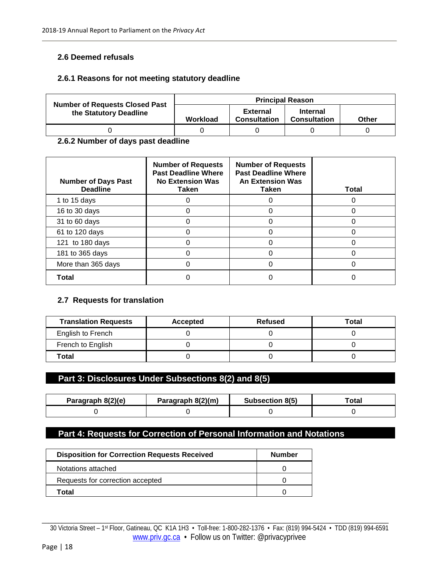#### **2.6 Deemed refusals**

#### **2.6.1 Reasons for not meeting statutory deadline**

|                                                                 | <b>Principal Reason</b> |                                        |                                        |       |  |  |  |
|-----------------------------------------------------------------|-------------------------|----------------------------------------|----------------------------------------|-------|--|--|--|
| <b>Number of Requests Closed Past</b><br>the Statutory Deadline | Workload                | <b>External</b><br><b>Consultation</b> | <b>Internal</b><br><b>Consultation</b> | Other |  |  |  |
|                                                                 |                         |                                        |                                        |       |  |  |  |

#### **2.6.2 Number of days past deadline**

| <b>Number of Days Past</b><br><b>Deadline</b> | <b>Number of Requests</b><br><b>Past Deadline Where</b><br><b>No Extension Was</b><br>Taken | <b>Number of Requests</b><br><b>Past Deadline Where</b><br><b>An Extension Was</b><br>Taken | Total |
|-----------------------------------------------|---------------------------------------------------------------------------------------------|---------------------------------------------------------------------------------------------|-------|
| 1 to 15 days                                  |                                                                                             |                                                                                             |       |
| 16 to 30 days                                 |                                                                                             |                                                                                             |       |
| 31 to 60 days                                 |                                                                                             |                                                                                             |       |
| 61 to 120 days                                |                                                                                             |                                                                                             |       |
| 121 to 180 days                               |                                                                                             |                                                                                             |       |
| 181 to 365 days                               |                                                                                             |                                                                                             |       |
| More than 365 days                            |                                                                                             |                                                                                             |       |
| Total                                         |                                                                                             |                                                                                             |       |

#### **2.7 Requests for translation**

| <b>Translation Requests</b> | Accepted | <b>Refused</b> | Total |
|-----------------------------|----------|----------------|-------|
| English to French           |          |                |       |
| French to English           |          |                |       |
| Total                       |          |                |       |

### **Part 3: Disclosures Under Subsections 8(2) and 8(5)**

| Paragraph 8(2)(e) | Paragraph 8(2)(m) | <b>Subsection 8(5)</b> | ™otal |  |
|-------------------|-------------------|------------------------|-------|--|
|                   |                   |                        |       |  |

## **Part 4: Requests for Correction of Personal Information and Notations**

| <b>Disposition for Correction Requests Received</b> | <b>Number</b> |
|-----------------------------------------------------|---------------|
| Notations attached                                  |               |
| Requests for correction accepted                    |               |
| Total                                               |               |

\_\_\_\_\_\_\_\_\_\_\_\_\_\_\_\_\_\_\_\_\_\_\_\_\_\_\_\_\_\_\_\_\_\_\_\_\_\_\_\_\_\_\_\_\_\_\_\_\_\_\_\_\_\_\_\_\_\_\_\_\_\_\_\_\_\_\_\_\_\_\_\_\_\_\_\_\_\_\_\_\_\_\_\_\_\_\_\_\_\_\_\_\_\_\_\_\_\_\_\_\_\_\_\_\_\_ 30 Victoria Street – 1st Floor, Gatineau, QC K1A 1H3 • Toll-free: 1-800-282-1376 • Fax: (819) 994-5424 • TDD (819) 994-6591 [www.priv.gc.ca](http://www.priv.gc.ca/) • Follow us on Twitter: @privacyprivee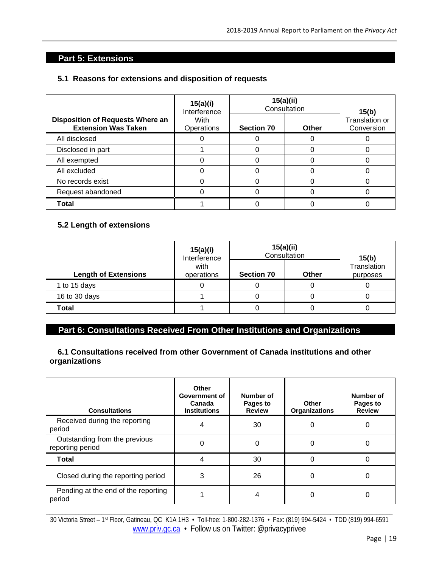# **Part 5: Extensions**

#### **5.1 Reasons for extensions and disposition of requests**

|                                                                       | 15(a)(i)<br>Interference | 15(a)(ii)<br>Consultation | 15(b) |                                     |
|-----------------------------------------------------------------------|--------------------------|---------------------------|-------|-------------------------------------|
| <b>Disposition of Requests Where an</b><br><b>Extension Was Taken</b> | With<br>Operations       | <b>Section 70</b>         | Other | <b>Translation or</b><br>Conversion |
| All disclosed                                                         |                          |                           |       |                                     |
| Disclosed in part                                                     |                          |                           |       |                                     |
| All exempted                                                          |                          |                           |       |                                     |
| All excluded                                                          |                          |                           |       |                                     |
| No records exist                                                      |                          |                           |       |                                     |
| Request abandoned                                                     |                          |                           |       |                                     |
| <b>Total</b>                                                          |                          |                           |       |                                     |

#### **5.2 Length of extensions**

|                             | 15(a)(i)<br>Interference | 15(a)(ii)<br>Consultation | 15(b)        |                         |  |
|-----------------------------|--------------------------|---------------------------|--------------|-------------------------|--|
| <b>Length of Extensions</b> | with<br>operations       |                           | <b>Other</b> | Translation<br>purposes |  |
| 1 to 15 days                |                          |                           |              |                         |  |
| 16 to 30 days               |                          |                           |              |                         |  |
| Total                       |                          |                           |              |                         |  |

# **Part 6: Consultations Received From Other Institutions and Organizations**

#### **6.1 Consultations received from other Government of Canada institutions and other organizations**

| <b>Consultations</b>                              | <b>Other</b><br>Government of<br>Canada<br><b>Institutions</b> | Number of<br>Pages to<br><b>Review</b> | Other<br><b>Organizations</b> | Number of<br>Pages to<br><b>Review</b> |
|---------------------------------------------------|----------------------------------------------------------------|----------------------------------------|-------------------------------|----------------------------------------|
| Received during the reporting<br>period           | 4                                                              | 30                                     | 0                             | 0                                      |
| Outstanding from the previous<br>reporting period | 0                                                              | $\Omega$                               | 0                             | 0                                      |
| Total                                             | 4                                                              | 30                                     | $\Omega$                      | O                                      |
| Closed during the reporting period                | 3                                                              | 26                                     | 0                             | O                                      |
| Pending at the end of the reporting<br>period     |                                                                |                                        | 0                             | 0                                      |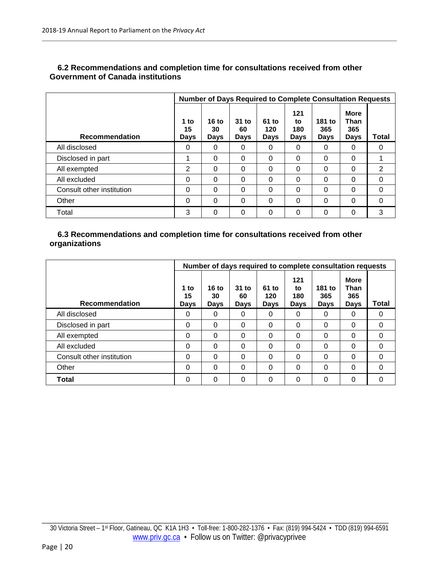|                           | <b>Number of Days Required to Complete Consultation Requests</b> |                     |                       |                      |                                 |                              |                                                  |          |
|---------------------------|------------------------------------------------------------------|---------------------|-----------------------|----------------------|---------------------------------|------------------------------|--------------------------------------------------|----------|
| <b>Recommendation</b>     | 1 to<br>15<br><b>Days</b>                                        | 16 to<br>30<br>Days | $31$ to<br>60<br>Days | 61 to<br>120<br>Days | 121<br>to<br>180<br><b>Days</b> | 181 to<br>365<br><b>Days</b> | <b>More</b><br><b>Than</b><br>365<br><b>Days</b> | Total    |
| All disclosed             | 0                                                                | 0                   | 0                     | $\Omega$             | 0                               | 0                            | 0                                                | 0        |
| Disclosed in part         |                                                                  | 0                   | 0                     | $\Omega$             | 0                               | $\Omega$                     | $\Omega$                                         |          |
| All exempted              | 2                                                                | 0                   | 0                     | $\Omega$             | $\Omega$                        | $\Omega$                     | $\Omega$                                         | 2        |
| All excluded              | 0                                                                | 0                   | 0                     | $\Omega$             | 0                               | $\Omega$                     | $\Omega$                                         | $\Omega$ |
| Consult other institution | 0                                                                | $\Omega$            | 0                     | $\Omega$             | $\Omega$                        | $\Omega$                     | $\Omega$                                         | $\Omega$ |
| Other                     | 0                                                                | 0                   | 0                     | $\Omega$             | $\Omega$                        | 0                            | $\Omega$                                         | 0        |
| Total                     | 3                                                                | 0                   | 0                     | $\Omega$             | 0                               | 0                            | $\Omega$                                         | 3        |

#### **6.2 Recommendations and completion time for consultations received from other Government of Canada institutions**

#### **6.3 Recommendations and completion time for consultations received from other organizations**

|                           | Number of days required to complete consultation requests |                     |                       |                             |                                 |                       |                                                  |              |
|---------------------------|-----------------------------------------------------------|---------------------|-----------------------|-----------------------------|---------------------------------|-----------------------|--------------------------------------------------|--------------|
| <b>Recommendation</b>     | 1 to<br>15<br><b>Days</b>                                 | 16 to<br>30<br>Days | $31$ to<br>60<br>Days | 61 to<br>120<br><b>Days</b> | 121<br>to<br>180<br><b>Days</b> | 181 to<br>365<br>Days | <b>More</b><br><b>Than</b><br>365<br><b>Days</b> | <b>Total</b> |
| All disclosed             | 0                                                         | 0                   | 0                     | $\Omega$                    | 0                               | $\Omega$              | 0                                                | 0            |
| Disclosed in part         | 0                                                         | 0                   | 0                     | $\Omega$                    | 0                               | $\Omega$              | $\Omega$                                         | $\Omega$     |
| All exempted              | 0                                                         | 0                   | 0                     | $\Omega$                    | $\Omega$                        | $\Omega$              | 0                                                | 0            |
| All excluded              | 0                                                         | 0                   | $\Omega$              | $\Omega$                    | $\Omega$                        | $\Omega$              | $\Omega$                                         | $\Omega$     |
| Consult other institution | 0                                                         | 0                   | 0                     | $\Omega$                    | $\Omega$                        | $\Omega$              | $\Omega$                                         | $\Omega$     |
| Other                     | 0                                                         | 0                   | 0                     | $\Omega$                    | 0                               | $\Omega$              | 0                                                | $\Omega$     |
| <b>Total</b>              | 0                                                         | 0                   | 0                     | $\Omega$                    | 0                               | $\Omega$              | 0                                                | $\Omega$     |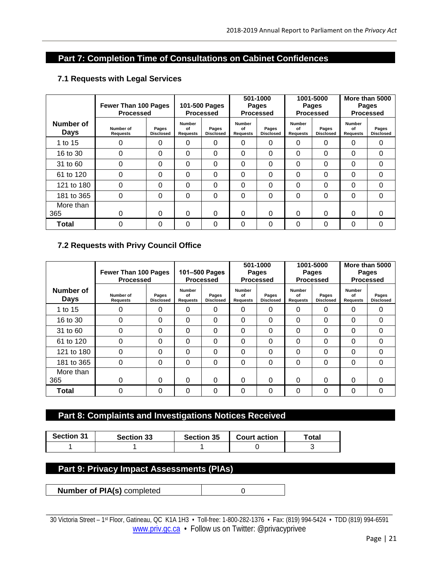## **Part 7: Completion Time of Consultations on Cabinet Confidences**

|                          | <b>Fewer Than 100 Pages</b><br><b>Processed</b> |                           | 101-500 Pages<br><b>Processed</b> |                           | 501-1000<br>Pages<br><b>Processed</b> |                           | 1001-5000<br>Pages<br><b>Processed</b> |                           | More than 5000<br>Pages<br><b>Processed</b> |                           |
|--------------------------|-------------------------------------------------|---------------------------|-----------------------------------|---------------------------|---------------------------------------|---------------------------|----------------------------------------|---------------------------|---------------------------------------------|---------------------------|
| Number of<br><b>Days</b> | Number of<br>Requests                           | Pages<br><b>Disclosed</b> | <b>Number</b><br>of<br>Requests   | Pages<br><b>Disclosed</b> | <b>Number</b><br>οf<br>Requests       | Pages<br><b>Disclosed</b> | <b>Number</b><br>of<br>Requests        | Pages<br><b>Disclosed</b> | <b>Number</b><br>of<br>Requests             | Pages<br><b>Disclosed</b> |
| 1 to 15                  |                                                 | 0                         | 0                                 | 0                         | 0                                     | 0                         | 0                                      | 0                         | 0                                           | 0                         |
| 16 to 30                 | 0                                               | $\Omega$                  | 0                                 | 0                         | 0                                     | 0                         | $\Omega$                               | 0                         | 0                                           | $\Omega$                  |
| 31 to 60                 | 0                                               | $\Omega$                  | 0                                 | 0                         | 0                                     | 0                         | $\Omega$                               | 0                         | 0                                           | $\Omega$                  |
| 61 to 120                | 0                                               | $\Omega$                  | 0                                 | 0                         | 0                                     | $\Omega$                  | $\Omega$                               | 0                         | $\Omega$                                    | 0                         |
| 121 to 180               | 0                                               | $\Omega$                  | $\Omega$                          | 0                         | 0                                     | $\Omega$                  | $\Omega$                               | 0                         | $\Omega$                                    | $\Omega$                  |
| 181 to 365               | $\Omega$                                        | 0                         | 0                                 | 0                         | 0                                     | $\Omega$                  | 0                                      | 0                         | $\Omega$                                    | $\Omega$                  |
| More than                |                                                 |                           |                                   |                           |                                       |                           |                                        |                           |                                             |                           |
| 365                      | U                                               | $\Omega$                  | 0                                 | 0                         | 0                                     | 0                         | 0                                      | 0                         | $\Omega$                                    | $\Omega$                  |
| <b>Total</b>             | O                                               | 0                         | 0                                 | 0                         | 0                                     | $\Omega$                  | 0                                      | 0                         | 0                                           | $\Omega$                  |

#### **7.1 Requests with Legal Services**

#### **7.2 Requests with Privy Council Office**

|                          | <b>Fewer Than 100 Pages</b><br><b>Processed</b> |                           | 101-500 Pages<br><b>Processed</b>      |                           | 501-1000<br>Pages<br><b>Processed</b>  |                           | 1001-5000<br>Pages<br><b>Processed</b> |                           | More than 5000<br>Pages<br><b>Processed</b> |                           |
|--------------------------|-------------------------------------------------|---------------------------|----------------------------------------|---------------------------|----------------------------------------|---------------------------|----------------------------------------|---------------------------|---------------------------------------------|---------------------------|
| Number of<br><b>Days</b> | Number of<br><b>Requests</b>                    | Pages<br><b>Disclosed</b> | <b>Number</b><br>of<br><b>Requests</b> | Pages<br><b>Disclosed</b> | <b>Number</b><br>of<br><b>Requests</b> | Pages<br><b>Disclosed</b> | <b>Number</b><br>of<br><b>Requests</b> | Pages<br><b>Disclosed</b> | Number<br>of<br>Requests                    | Pages<br><b>Disclosed</b> |
| 1 to 15                  |                                                 | $\Omega$                  | 0                                      | 0                         | $\Omega$                               | $\Omega$                  | $\Omega$                               | $\Omega$                  | $\Omega$                                    | $\Omega$                  |
| 16 to 30                 | 0                                               | $\Omega$                  | 0                                      | 0                         | 0                                      | $\Omega$                  | $\Omega$                               | $\Omega$                  | $\Omega$                                    | 0                         |
| 31 to 60                 | 0                                               | $\Omega$                  | $\Omega$                               | 0                         | 0                                      | $\Omega$                  | $\Omega$                               | 0                         | $\Omega$                                    | 0                         |
| 61 to 120                | $\Omega$                                        | $\Omega$                  | 0                                      | 0                         | $\Omega$                               | $\Omega$                  | 0                                      | 0                         | $\Omega$                                    | $\Omega$                  |
| 121 to 180               | 0                                               | 0                         | 0                                      | 0                         | 0                                      | 0                         | 0                                      | 0                         | 0                                           | $\Omega$                  |
| 181 to 365               | 0                                               | 0                         | 0                                      | 0                         | 0                                      | 0                         | 0                                      | 0                         | $\Omega$                                    | 0                         |
| More than                |                                                 |                           |                                        |                           |                                        |                           |                                        |                           |                                             |                           |
| 365                      | O                                               | $\Omega$                  | 0                                      | 0                         | $\mathbf{0}$                           | 0                         | 0                                      | 0                         | $\Omega$                                    | $\Omega$                  |
| Total                    | 0                                               | $\Omega$                  | 0                                      | 0                         | 0                                      | 0                         | 0                                      | 0                         | 0                                           | 0                         |

# **Part 8: Complaints and Investigations Notices Received**

| <b>Section 31</b> | <b>Section 33</b> | <b>Section 35</b> | <b>Court action</b> | ™otal |
|-------------------|-------------------|-------------------|---------------------|-------|
|                   |                   |                   |                     |       |

#### **Part 9: Privacy Impact Assessments (PIAs)**

**Number of PIA(s)** completed and 0